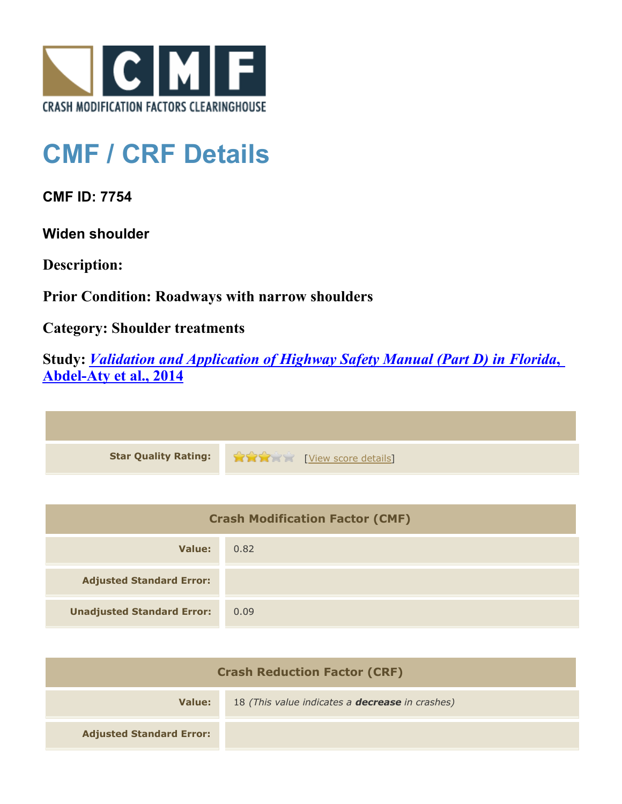

## **CMF / CRF Details**

**CMF ID: 7754**

**Widen shoulder**

**Description:** 

**Prior Condition: Roadways with narrow shoulders**

**Category: Shoulder treatments**

**Study:** *[Validation and Application of Highway Safety Manual \(Part D\) in Florida](http://www.cmfclearinghouse.org/study_detail.cfm?stid=433)***[,](http://www.cmfclearinghouse.org/study_detail.cfm?stid=433) [Abdel-Aty et al., 2014](http://www.cmfclearinghouse.org/study_detail.cfm?stid=433)**



| <b>Crash Modification Factor (CMF)</b> |      |
|----------------------------------------|------|
| Value:                                 | 0.82 |
| <b>Adjusted Standard Error:</b>        |      |
| <b>Unadjusted Standard Error:</b>      | 0.09 |

| <b>Crash Reduction Factor (CRF)</b> |                                                        |
|-------------------------------------|--------------------------------------------------------|
| Value:                              | 18 (This value indicates a <b>decrease</b> in crashes) |
| <b>Adjusted Standard Error:</b>     |                                                        |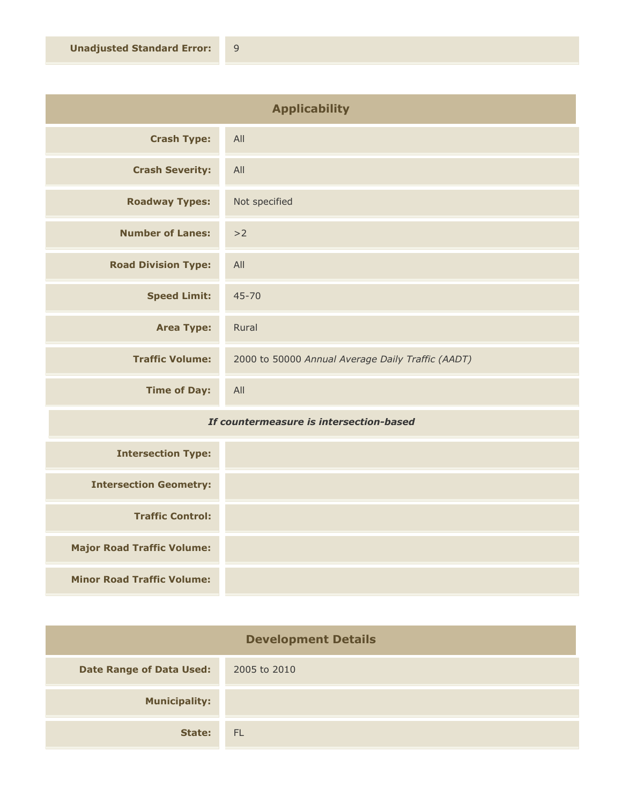| <b>Applicability</b>       |                                                   |
|----------------------------|---------------------------------------------------|
| <b>Crash Type:</b>         | All                                               |
| <b>Crash Severity:</b>     | All                                               |
| <b>Roadway Types:</b>      | Not specified                                     |
| <b>Number of Lanes:</b>    | >2                                                |
| <b>Road Division Type:</b> | All                                               |
| <b>Speed Limit:</b>        | $45 - 70$                                         |
| <b>Area Type:</b>          | Rural                                             |
| <b>Traffic Volume:</b>     | 2000 to 50000 Annual Average Daily Traffic (AADT) |
| <b>Time of Day:</b>        | All                                               |

## *If countermeasure is intersection-based*

| <b>Intersection Type:</b>         |  |
|-----------------------------------|--|
| <b>Intersection Geometry:</b>     |  |
| <b>Traffic Control:</b>           |  |
| <b>Major Road Traffic Volume:</b> |  |
| <b>Minor Road Traffic Volume:</b> |  |

| <b>Development Details</b>      |              |
|---------------------------------|--------------|
| <b>Date Range of Data Used:</b> | 2005 to 2010 |
| <b>Municipality:</b>            |              |
| State:                          | <b>FL</b>    |